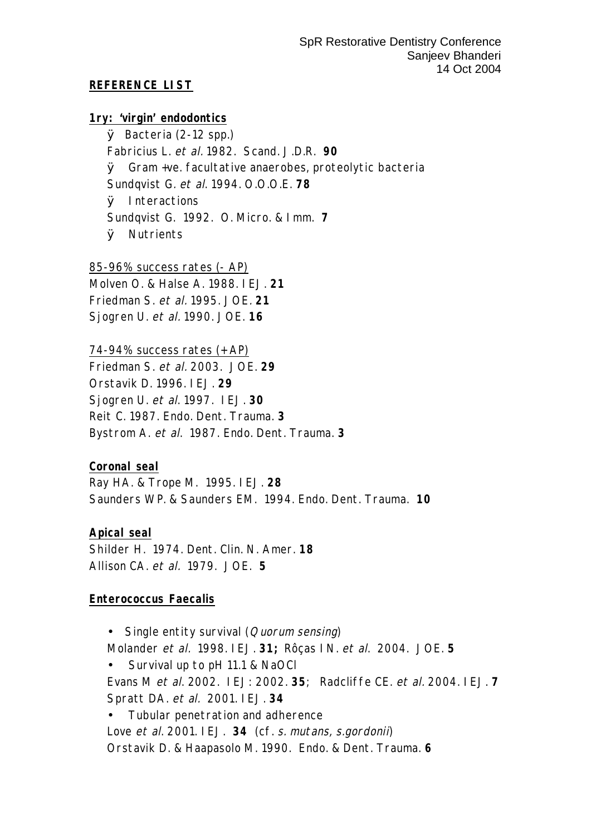#### **REFERENCE LIST**

**1ry: 'virgin' endodontics**

Ø Bacteria (2-12 spp.) Fabricius L. et al. 1982. Scand. J.D.R. **90** Ø Gram +ve. facultative anaerobes, proteolytic bacteria Sundqvist G. et al. 1994. O.O.O.E. **78** Ø Interactions Sundqvist G. 1992. O. Micro. & Imm. **7** Ø Nutrients

85-96% success rates (- AP) Molven O. & Halse A. 1988. IEJ. **21** Friedman S. et al. 1995. JOE. **21** Sjogren U. et al. 1990. JOE. **16**

74-94% success rates (+ AP) Friedman S. et al. 2003. JOE. **29** Orstavik D. 1996. IEJ. **29** Sjogren U. et al. 1997. IEJ. **30** Reit C. 1987. Endo. Dent. Trauma. **3** Bystrom A. et al. 1987. Endo. Dent. Trauma. **3**

**Coronal seal** Ray HA. & Trope M. 1995. IEJ. **28** Saunders WP. & Saunders EM. 1994. Endo. Dent. Trauma. **10**

**Apical seal** Shilder H. 1974. Dent. Clin. N. Amer. **18** Allison CA. et al. 1979. JOE. **5**

#### **Enterococcus Faecalis**

• Single entity survival (*Quorum sensing*) Molander et al. 1998. IEJ. **31;** Rôças IN. et al. 2004. JOE. **5** • Survival up to pH 11.1 & NaOCl Evans M et al. 2002. IEJ: 2002. **35**; Radcliffe CE. et al. 2004. IEJ. **7** Spratt DA. et al. 2001. IEJ. **34**

• Tubular penetration and adherence Love et al. 2001. IEJ. **34** (cf. s. mutans, s.gordonii) Orstavik D. & Haapasolo M. 1990. Endo. & Dent. Trauma. **6**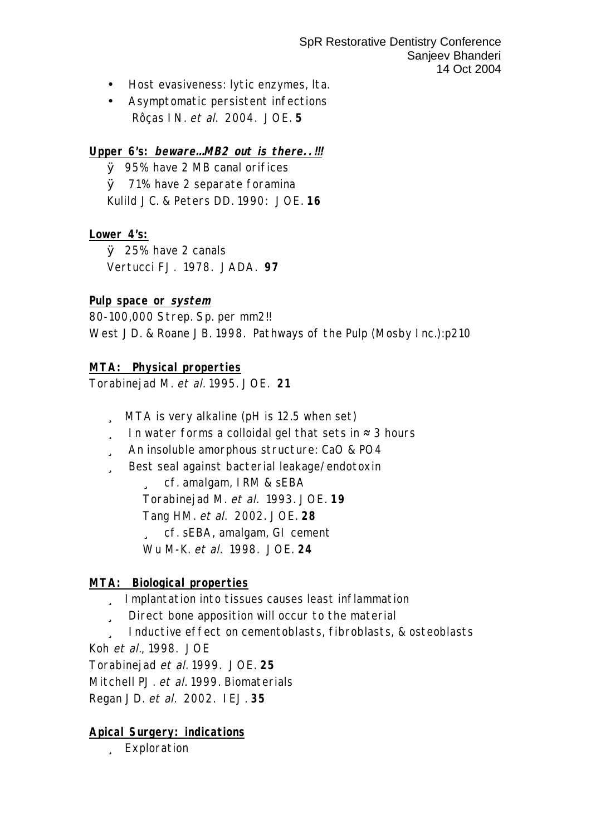- Host evasiveness: lytic enzymes, lta.
- Asymptomatic persistent infections Rôças IN. et al. 2004. JOE. **5**

**Upper 6's: beware… MB2 out is there..!!!**

Ø 95% have 2 MB canal orifices Ø 71% have 2 separate foramina Kulild JC. & Peters DD. 1990: JOE. **16**

**Lower 4's:**

Ø 25% have 2 canals Vertucci FJ. 1978. JADA. **97**

**Pulp space or system**

80-100,000 Strep. Sp. per mm2!!

West JD. & Roane JB. 1998. Pathways of the Pulp (Mosby Inc.):p210

**MTA: Physical properties**

Torabinejad M. et al. 1995. JOE. **21**

- ü MTA is very alkaline (pH is 12.5 when set)
- $\ddot{u}$  In water forms a colloidal gel that sets in  $\approx$  3 hours
- ü An insoluble amorphous structure: CaO & PO4
- ü Best seal against bacterial leakage/endotoxin

ü cf. amalgam, IRM & sEBA Torabinejad M. et al. 1993. JOE. **19** Tang HM. et al. 2002. JOE. **28** ü cf. sEBA, amalgam, GI cement Wu M-K. et al. 1998. JOE. **24**

#### **MTA: Biological properties**

- ü Implantation into tissues causes least inflammation
- ü Direct bone apposition will occur to the material

ü Inductive effect on cementoblasts, fibroblasts, & osteoblasts Koh et al., 1998. JOE

Torabinejad et al. 1999. JOE. **25**

Mitchell PJ. et al. 1999. Biomaterials

Regan JD. et al. 2002. IEJ. **35**

**Apical Surgery: indications**

ü Exploration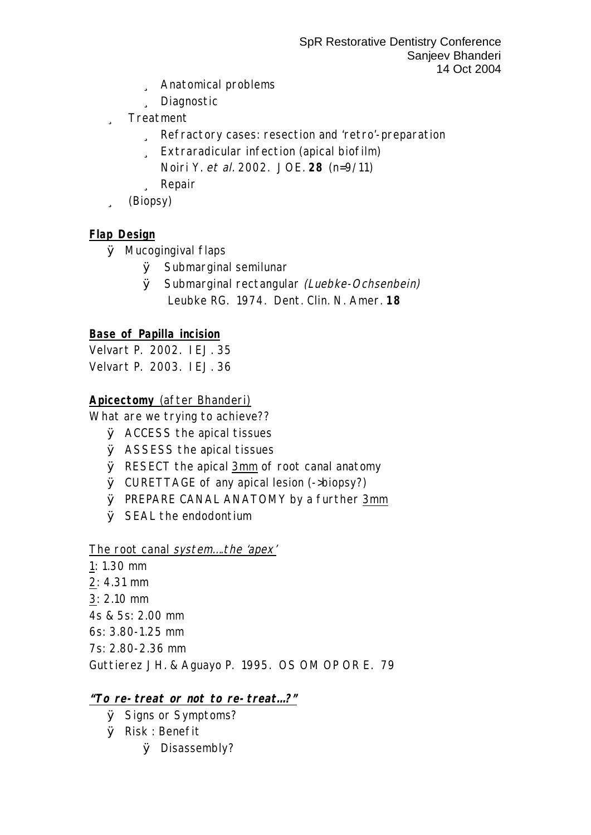- ü Anatomical problems
- ü Diagnostic
- ü Treatment
	- U Refractory cases: resection and 'retro'-preparation
	- ü Extraradicular infection (apical biofilm)
		- Noiri Y. et al. 2002. JOE. 28 (n=9/11)
	- ü Repair
- ü (Biopsy)

## Flap Design

- $\emptyset$  Mucogingival flaps
	- $\emptyset$  Submarginal semilunar
	- Ø Submarginal rectangular (Luebke-Ochsenbein) Leubke RG. 1974. Dent. Clin. N. Amer. 18

**Base of Papilla incision** 

Velvart P. 2002. IEJ. 35 Velvart P. 2003. IEJ. 36

## Apicectomy (after Bhanderi)

What are we trying to achieve??

- $\emptyset$  ACCESS the apical tissues
- $\emptyset$  ASSESS the apical tissues
- $\emptyset$  RESECT the apical 3mm of root canal anatomy
- $\emptyset$  CURETTAGE of any apical lesion (->biopsy?)
- Ø PREPARE CANAL ANATOMY by a further 3mm
- $\emptyset$  SEAL the endodontium

## The root canal system... the 'apex'

- $1: 1.30$  mm
- $2: 4.31$  mm
- $3: 2.10$  mm
- 4s & 5s: 2.00 mm
- 6s: 3.80-1.25 mm
- 7s: 2.80-2.36 mm

Guttierez JH. & Aguayo P. 1995. OS OM OP OR E. 79

## "To re-treat or not to re-treat...?"

- $\emptyset$  Signs or Symptoms?
- $\varnothing$  Risk : Benefit
	- $Ø$  Disassembly?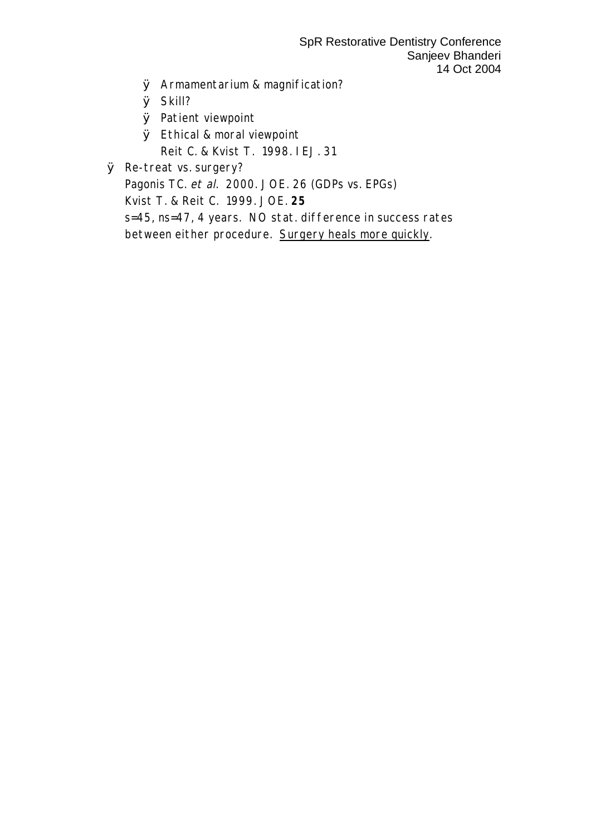SpR Restorative Dentistry Conference Sanjeev Bhanderi 14 Oct 2004

- Ø Armamentarium & magnification?
- Ø Skill?
- Ø Patient viewpoint
- Ø Ethical & moral viewpoint Reit C. & Kvist T. 1998. IEJ. 31
- Ø Re-treat vs. surgery?

Pagonis TC. et al. 2000. JOE. 26 (GDPs vs. EPGs)

Kvist T. & Reit C. 1999. JOE. **25**

s=45, ns=47, 4 years. NO stat. difference in success rates between either procedure. Surgery heals more quickly.